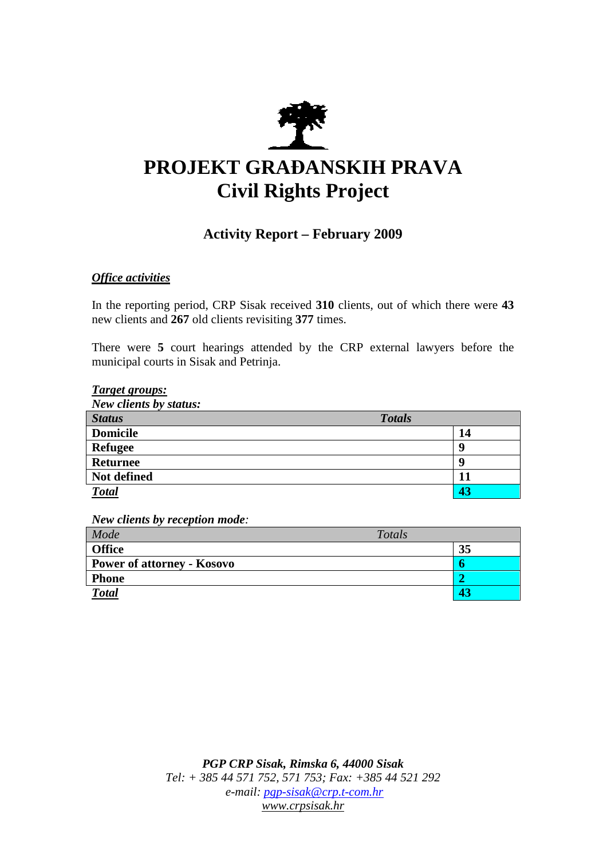

# **PROJEKT GRAĐANSKIH PRAVA Civil Rights Project**

# **Activity Report – February 2009**

## *Office activities*

In the reporting period, CRP Sisak received **310** clients, out of which there were **43**  new clients and **267** old clients revisiting **377** times.

There were **5** court hearings attended by the CRP external lawyers before the municipal courts in Sisak and Petrinja.

#### *Target groups:*

*New clients by status:* 

| <b>Status</b>   | <b>Totals</b> |
|-----------------|---------------|
| <b>Domicile</b> | 14            |
| <b>Refugee</b>  |               |
| <b>Returnee</b> |               |
| Not defined     |               |
| <b>Total</b>    | 43            |

*New clients by reception mode:* 

| Mode                              | Totals |
|-----------------------------------|--------|
| <b>Office</b>                     | 35     |
| <b>Power of attorney - Kosovo</b> |        |
| <b>Phone</b>                      |        |
| <b>Total</b>                      |        |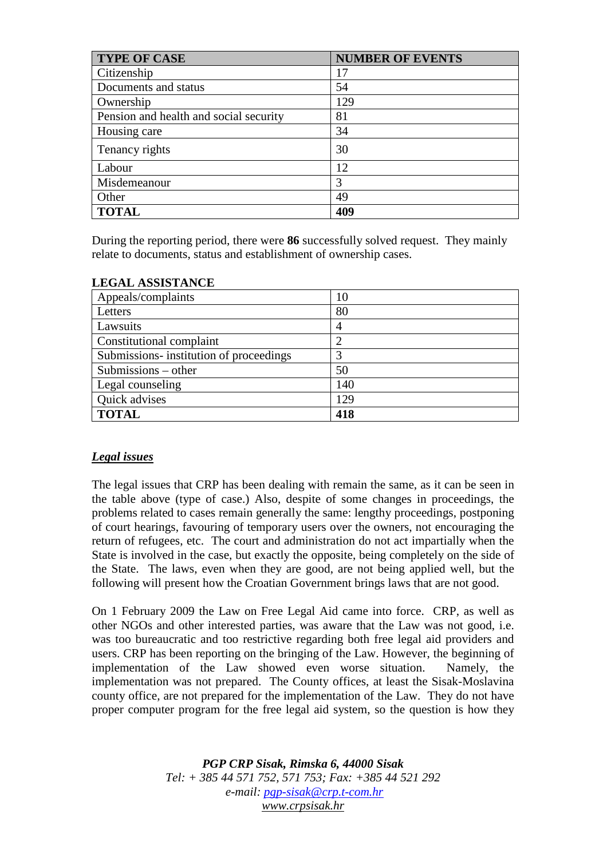| <b>TYPE OF CASE</b>                    | <b>NUMBER OF EVENTS</b> |
|----------------------------------------|-------------------------|
| Citizenship                            | 17                      |
| Documents and status                   | 54                      |
| Ownership                              | 129                     |
| Pension and health and social security | 81                      |
| Housing care                           | 34                      |
| Tenancy rights                         | 30                      |
| Labour                                 | 12                      |
| Misdemeanour                           | 3                       |
| Other                                  | 49                      |
| <b>TOTAL</b>                           | 409                     |

During the reporting period, there were **86** successfully solved request. They mainly relate to documents, status and establishment of ownership cases.

| Appeals/complaints                      | 10  |
|-----------------------------------------|-----|
| Letters                                 | 80  |
| Lawsuits                                | 4   |
| Constitutional complaint                |     |
| Submissions- institution of proceedings |     |
| Submissions $-$ other                   | 50  |
| Legal counseling                        | 140 |
| Quick advises                           | 129 |
| <b>TOTAL</b>                            | 418 |

# **LEGAL ASSISTANCE**

## *Legal issues*

The legal issues that CRP has been dealing with remain the same, as it can be seen in the table above (type of case.) Also, despite of some changes in proceedings, the problems related to cases remain generally the same: lengthy proceedings, postponing of court hearings, favouring of temporary users over the owners, not encouraging the return of refugees, etc. The court and administration do not act impartially when the State is involved in the case, but exactly the opposite, being completely on the side of the State. The laws, even when they are good, are not being applied well, but the following will present how the Croatian Government brings laws that are not good.

On 1 February 2009 the Law on Free Legal Aid came into force. CRP, as well as other NGOs and other interested parties, was aware that the Law was not good, i.e. was too bureaucratic and too restrictive regarding both free legal aid providers and users. CRP has been reporting on the bringing of the Law. However, the beginning of implementation of the Law showed even worse situation. Namely, the implementation was not prepared. The County offices, at least the Sisak-Moslavina county office, are not prepared for the implementation of the Law. They do not have proper computer program for the free legal aid system, so the question is how they

> *PGP CRP Sisak, Rimska 6, 44000 Sisak Tel: + 385 44 571 752, 571 753; Fax: +385 44 521 292 e-mail: pgp-sisak@crp.t-com.hr www.crpsisak.hr*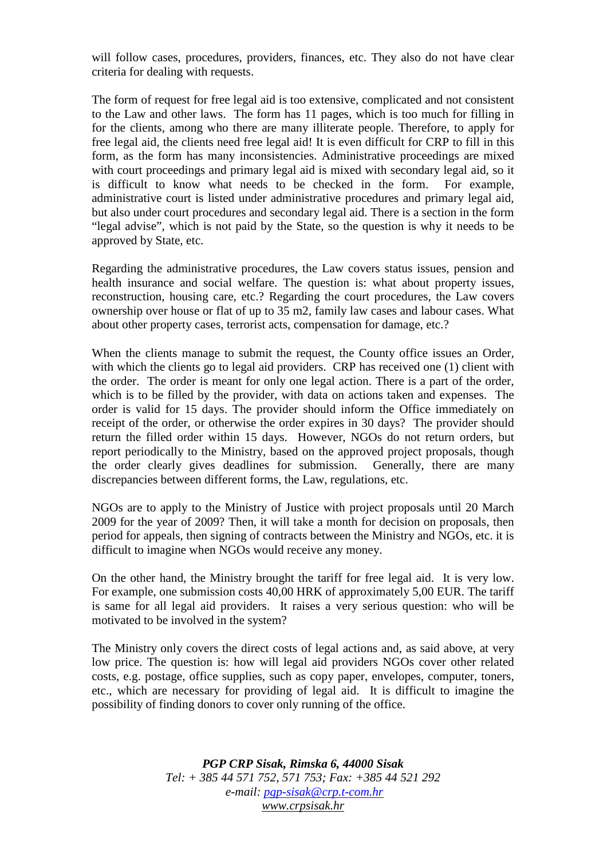will follow cases, procedures, providers, finances, etc. They also do not have clear criteria for dealing with requests.

The form of request for free legal aid is too extensive, complicated and not consistent to the Law and other laws. The form has 11 pages, which is too much for filling in for the clients, among who there are many illiterate people. Therefore, to apply for free legal aid, the clients need free legal aid! It is even difficult for CRP to fill in this form, as the form has many inconsistencies. Administrative proceedings are mixed with court proceedings and primary legal aid is mixed with secondary legal aid, so it is difficult to know what needs to be checked in the form. For example, administrative court is listed under administrative procedures and primary legal aid, but also under court procedures and secondary legal aid. There is a section in the form "legal advise", which is not paid by the State, so the question is why it needs to be approved by State, etc.

Regarding the administrative procedures, the Law covers status issues, pension and health insurance and social welfare. The question is: what about property issues, reconstruction, housing care, etc.? Regarding the court procedures, the Law covers ownership over house or flat of up to 35 m2, family law cases and labour cases. What about other property cases, terrorist acts, compensation for damage, etc.?

When the clients manage to submit the request, the County office issues an Order, with which the clients go to legal aid providers. CRP has received one (1) client with the order. The order is meant for only one legal action. There is a part of the order, which is to be filled by the provider, with data on actions taken and expenses. The order is valid for 15 days. The provider should inform the Office immediately on receipt of the order, or otherwise the order expires in 30 days? The provider should return the filled order within 15 days. However, NGOs do not return orders, but report periodically to the Ministry, based on the approved project proposals, though the order clearly gives deadlines for submission. Generally, there are many discrepancies between different forms, the Law, regulations, etc.

NGOs are to apply to the Ministry of Justice with project proposals until 20 March 2009 for the year of 2009? Then, it will take a month for decision on proposals, then period for appeals, then signing of contracts between the Ministry and NGOs, etc. it is difficult to imagine when NGOs would receive any money.

On the other hand, the Ministry brought the tariff for free legal aid. It is very low. For example, one submission costs 40,00 HRK of approximately 5,00 EUR. The tariff is same for all legal aid providers. It raises a very serious question: who will be motivated to be involved in the system?

The Ministry only covers the direct costs of legal actions and, as said above, at very low price. The question is: how will legal aid providers NGOs cover other related costs, e.g. postage, office supplies, such as copy paper, envelopes, computer, toners, etc., which are necessary for providing of legal aid. It is difficult to imagine the possibility of finding donors to cover only running of the office.

> *PGP CRP Sisak, Rimska 6, 44000 Sisak Tel: + 385 44 571 752, 571 753; Fax: +385 44 521 292 e-mail: pgp-sisak@crp.t-com.hr www.crpsisak.hr*